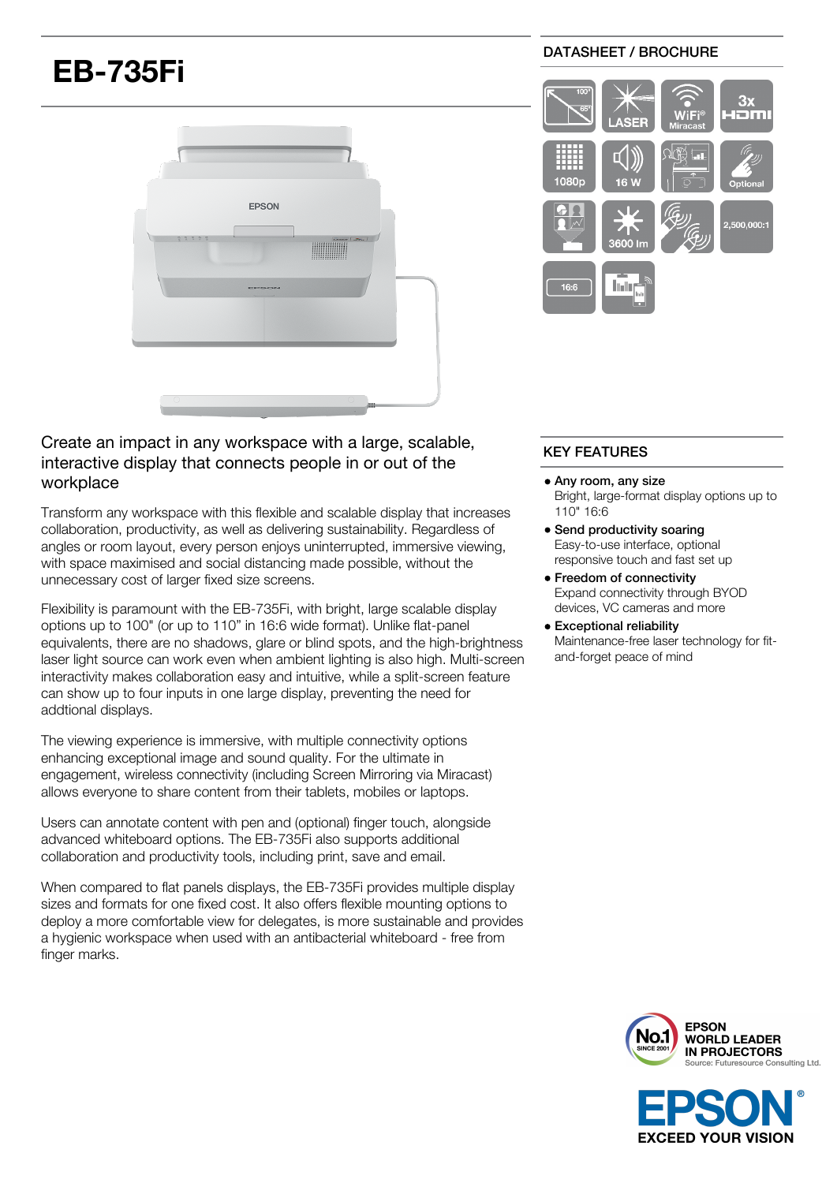# **EB-735Fi**



### DATASHEET / BROCHURE



## Create an impact in any workspace with a large, scalable, interactive display that connects people in or out of the workplace

Transform any workspace with this flexible and scalable display that increases collaboration, productivity, as well as delivering sustainability. Regardless of angles or room layout, every person enjoys uninterrupted, immersive viewing, with space maximised and social distancing made possible, without the unnecessary cost of larger fixed size screens.

Flexibility is paramount with the EB-735Fi, with bright, large scalable display options up to 100" (or up to 110" in 16:6 wide format). Unlike flat-panel equivalents, there are no shadows, glare or blind spots, and the high-brightness laser light source can work even when ambient lighting is also high. Multi-screen interactivity makes collaboration easy and intuitive, while a split-screen feature can show up to four inputs in one large display, preventing the need for addtional displays.

The viewing experience is immersive, with multiple connectivity options enhancing exceptional image and sound quality. For the ultimate in engagement, wireless connectivity (including Screen Mirroring via Miracast) allows everyone to share content from their tablets, mobiles or laptops.

Users can annotate content with pen and (optional) finger touch, alongside advanced whiteboard options. The EB-735Fi also supports additional collaboration and productivity tools, including print, save and email.

When compared to flat panels displays, the EB-735Fi provides multiple display sizes and formats for one fixed cost. It also offers flexible mounting options to deploy a more comfortable view for delegates, is more sustainable and provides a hygienic workspace when used with an antibacterial whiteboard - free from finger marks.

## KEY FEATURES

- Any room, any size Bright, large-format display options up to 110" 16:6
- Send productivity soaring Easy-to-use interface, optional responsive touch and fast set up
- Freedom of connectivity Expand connectivity through BYOD devices, VC cameras and more
- Exceptional reliability Maintenance-free laser technology for fitand-forget peace of mind



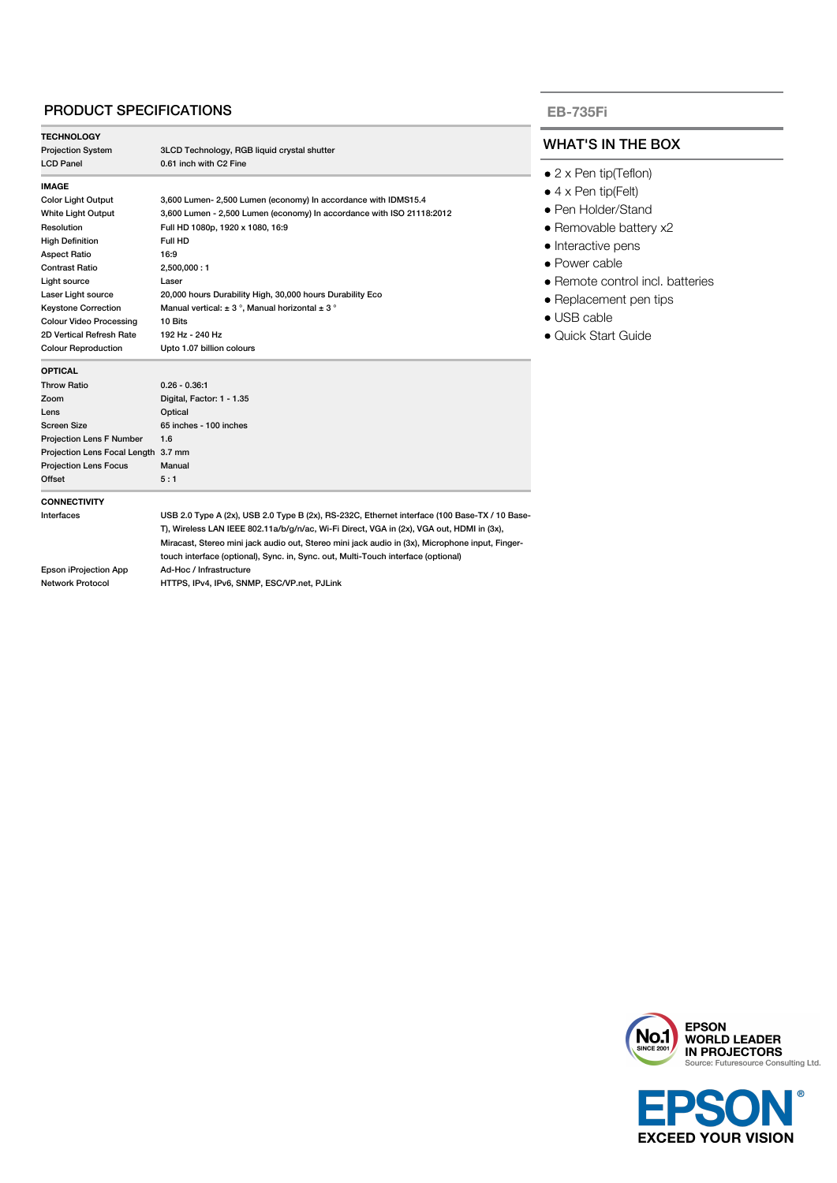## PRODUCT SPECIFICATIONS

| <b>TECHNOLOGY</b>                         |                                                                                                                                                                                                                                                                                                                                                                                    |
|-------------------------------------------|------------------------------------------------------------------------------------------------------------------------------------------------------------------------------------------------------------------------------------------------------------------------------------------------------------------------------------------------------------------------------------|
| <b>Projection System</b>                  | 3LCD Technology, RGB liquid crystal shutter                                                                                                                                                                                                                                                                                                                                        |
| <b>LCD Panel</b>                          | 0.61 inch with C2 Fine                                                                                                                                                                                                                                                                                                                                                             |
| IMAGE                                     |                                                                                                                                                                                                                                                                                                                                                                                    |
| <b>Color Light Output</b>                 | 3,600 Lumen- 2,500 Lumen (economy) In accordance with IDMS15.4                                                                                                                                                                                                                                                                                                                     |
| White Light Output                        | 3,600 Lumen - 2,500 Lumen (economy) In accordance with ISO 21118:2012                                                                                                                                                                                                                                                                                                              |
| Resolution                                | Full HD 1080p, 1920 x 1080, 16:9                                                                                                                                                                                                                                                                                                                                                   |
| <b>High Definition</b>                    | Full HD                                                                                                                                                                                                                                                                                                                                                                            |
| <b>Aspect Ratio</b>                       | 16:9                                                                                                                                                                                                                                                                                                                                                                               |
| Contrast Ratio                            | 2,500,000:1                                                                                                                                                                                                                                                                                                                                                                        |
| Light source                              | Laser                                                                                                                                                                                                                                                                                                                                                                              |
| Laser Light source                        | 20,000 hours Durability High, 30,000 hours Durability Eco                                                                                                                                                                                                                                                                                                                          |
| <b>Keystone Correction</b>                | Manual vertical: $\pm$ 3°, Manual horizontal $\pm$ 3°                                                                                                                                                                                                                                                                                                                              |
| <b>Colour Video Processing</b>            | 10 Bits                                                                                                                                                                                                                                                                                                                                                                            |
| 2D Vertical Refresh Rate                  | 192 Hz - 240 Hz                                                                                                                                                                                                                                                                                                                                                                    |
| <b>Colour Reproduction</b>                | Upto 1.07 billion colours                                                                                                                                                                                                                                                                                                                                                          |
| OPTICAL                                   |                                                                                                                                                                                                                                                                                                                                                                                    |
| <b>Throw Ratio</b>                        | $0.26 - 0.36.1$                                                                                                                                                                                                                                                                                                                                                                    |
| Zoom                                      | Digital, Factor: 1 - 1.35                                                                                                                                                                                                                                                                                                                                                          |
| Lens                                      | Optical                                                                                                                                                                                                                                                                                                                                                                            |
| Screen Size                               | 65 inches - 100 inches                                                                                                                                                                                                                                                                                                                                                             |
| <b>Projection Lens F Number</b>           | 1.6                                                                                                                                                                                                                                                                                                                                                                                |
| Projection Lens Focal Length 3.7 mm       |                                                                                                                                                                                                                                                                                                                                                                                    |
| <b>Projection Lens Focus</b>              | Manual                                                                                                                                                                                                                                                                                                                                                                             |
| Offset                                    | 5:1                                                                                                                                                                                                                                                                                                                                                                                |
| <b>CONNECTIVITY</b>                       |                                                                                                                                                                                                                                                                                                                                                                                    |
| Interfaces                                | USB 2.0 Type A (2x), USB 2.0 Type B (2x), RS-232C, Ethernet interface (100 Base-TX / 10 Base-<br>T), Wireless LAN IEEE 802.11a/b/g/n/ac, Wi-Fi Direct, VGA in (2x), VGA out, HDMI in (3x),<br>Miracast, Stereo mini jack audio out, Stereo mini jack audio in (3x), Microphone input, Finger-<br>touch interface (optional), Sync. in, Sync. out, Multi-Touch interface (optional) |
| Epson iProjection App<br>Network Protocol | Ad-Hoc / Infrastructure<br>HTTPS, IPv4, IPv6, SNMP, ESC/VP.net, PJLink                                                                                                                                                                                                                                                                                                             |
|                                           |                                                                                                                                                                                                                                                                                                                                                                                    |

#### **EB-735Fi**

## HAT'S IN THE BOX

- 2 x Pen tip(Teflon)
- 4 x Pen tip(Felt)
- Pen Holder/Stand
- Removable battery x2
- nteractive pens
- Power cable
- Remote control incl. batteries
- Replacement pen tips
- USB cable
- Quick Start Guide



**EXCEED YOUR VISION**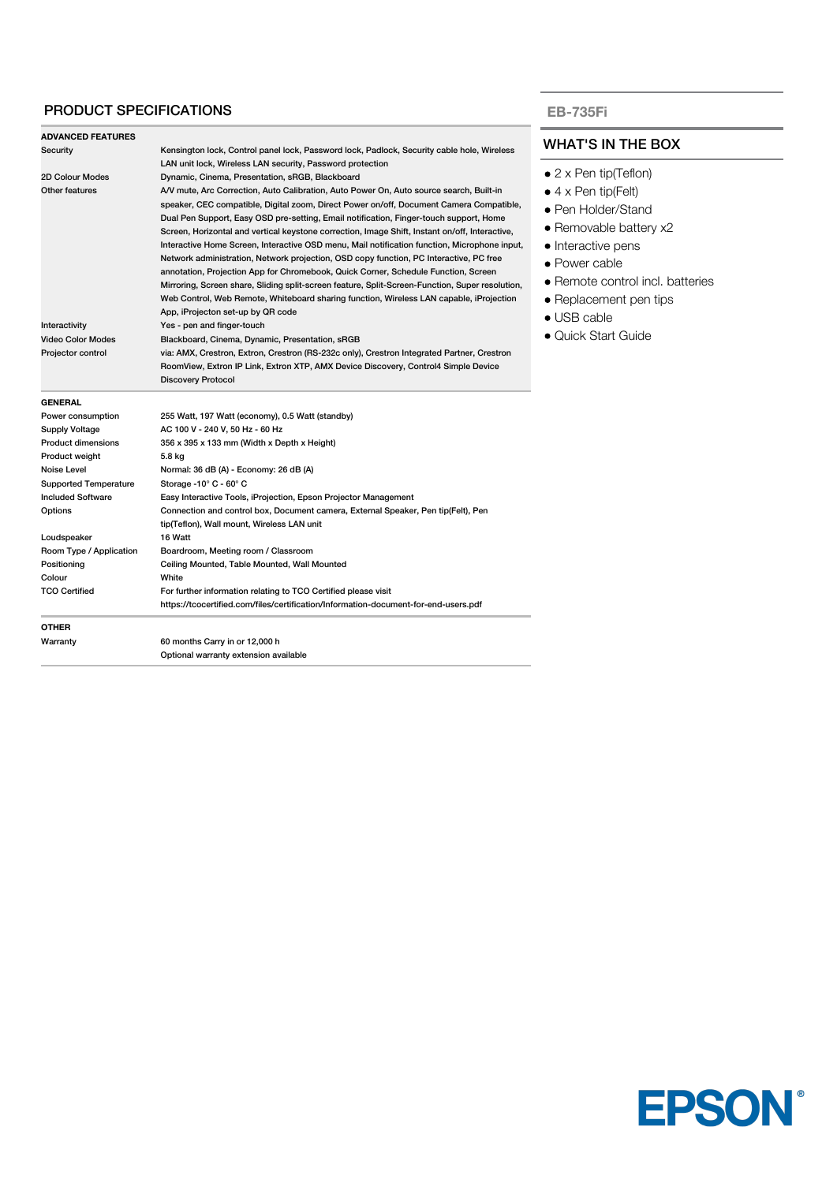## PRODUCT SPECIFICATIONS

**ADVANCED FEATURES**

#### WHAT'S IN THE BOX

- 2 x Pen tip(Teflon)
- $\bullet$  4 x Pen tip(Felt)
- Pen Holder/Stand
- Removable battery x2
- Interactive pens
- Power cable
- Remote control incl. batteries
- Replacement pen tips
- USB cable
- Quick Start Guide

| Warranty                          | 60 months Carry in or 12,000 h                                                                                                             |
|-----------------------------------|--------------------------------------------------------------------------------------------------------------------------------------------|
| <b>OTHER</b>                      |                                                                                                                                            |
|                                   | https://tcocertified.com/files/certification/Information-document-for-end-users.pdf                                                        |
| <b>TCO Certified</b>              | For further information relating to TCO Certified please visit                                                                             |
| Colour                            | White                                                                                                                                      |
| Positioning                       | Ceiling Mounted, Table Mounted, Wall Mounted                                                                                               |
| Room Type / Application           | Boardroom, Meeting room / Classroom                                                                                                        |
| Loudspeaker                       | 16 Watt                                                                                                                                    |
|                                   | tip(Teflon), Wall mount, Wireless LAN unit                                                                                                 |
| Options                           | Connection and control box, Document camera, External Speaker, Pen tip(Felt), Pen                                                          |
| <b>Included Software</b>          | Easy Interactive Tools, iProjection, Epson Projector Management                                                                            |
| <b>Supported Temperature</b>      | Normal: 36 dB (A) - Economy: 26 dB (A)<br>Storage -10° C - 60° C                                                                           |
| Product weight<br>Noise Level     | 5.8 kg                                                                                                                                     |
| <b>Product dimensions</b>         | 356 x 395 x 133 mm (Width x Depth x Height)                                                                                                |
| Supply Voltage                    | AC 100 V - 240 V, 50 Hz - 60 Hz                                                                                                            |
| Power consumption                 | 255 Watt, 197 Watt (economy), 0.5 Watt (standby)                                                                                           |
| <b>GENERAL</b>                    |                                                                                                                                            |
|                                   | <b>Discovery Protocol</b>                                                                                                                  |
|                                   | RoomView, Extron IP Link, Extron XTP, AMX Device Discovery, Control4 Simple Device                                                         |
| Projector control                 | via: AMX, Crestron, Extron, Crestron (RS-232c only), Crestron Integrated Partner, Crestron                                                 |
| <b>Video Color Modes</b>          | Blackboard, Cinema, Dynamic, Presentation, sRGB                                                                                            |
| Interactivity                     | Yes - pen and finger-touch                                                                                                                 |
|                                   | App, iProjecton set-up by QR code                                                                                                          |
|                                   | Web Control, Web Remote, Whiteboard sharing function, Wireless LAN capable, iProjection                                                    |
|                                   | Mirroring, Screen share, Sliding split-screen feature, Split-Screen-Function, Super resolution,                                            |
|                                   | annotation, Projection App for Chromebook, Quick Corner, Schedule Function, Screen                                                         |
|                                   | Network administration, Network projection, OSD copy function, PC Interactive, PC free                                                     |
|                                   | Interactive Home Screen, Interactive OSD menu, Mail notification function, Microphone input,                                               |
|                                   | Screen, Horizontal and vertical keystone correction, Image Shift, Instant on/off, Interactive,                                             |
|                                   | Dual Pen Support, Easy OSD pre-setting, Email notification, Finger-touch support, Home                                                     |
|                                   | speaker, CEC compatible, Digital zoom, Direct Power on/off, Document Camera Compatible,                                                    |
| 2D Colour Modes<br>Other features | Dynamic, Cinema, Presentation, sRGB, Blackboard<br>A/V mute, Arc Correction, Auto Calibration, Auto Power On, Auto source search, Built-in |
|                                   | LAN unit lock, Wireless LAN security, Password protection                                                                                  |
|                                   |                                                                                                                                            |

Security Kensington lock, Control panel lock, Password lock, Padlock, Security cable hole, Wireless

Optional warranty extension available